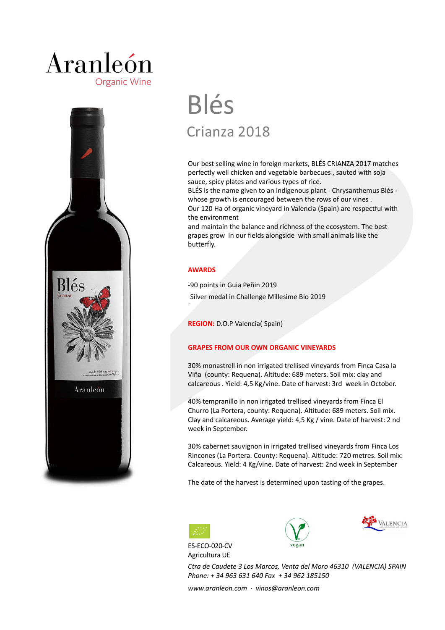### Aranleón **Organic Wine**



# Blés Crianza 2018

Our best selling wine in foreign markets, BLÉS CRIANZA 2017 matches perfectly well chicken and vegetable barbecues , sauted with soja sauce, spicy plates and various types of rice.

BLÉS is the name given to an indigenous plant - Chrysanthemus Blés whose growth is encouraged between the rows of our vines . Our 120 Ha of organic vineyard in Valencia (Spain) are respectful with the environment

and maintain the balance and richness of the ecosystem. The best grapes grow in our fields alongside with small animals like the butterfly.

### **AWARDS**

-

-90 points in Guia Peñin 2019

Silver medal in Challenge Millesime Bio 2019

**REGION:** D.O.P Valencia( Spain)

### **GRAPES FROM OUR OWN ORGANIC VINEYARDS**

30% monastrell in non irrigated trellised vineyards from Finca Casa la Viña (county: Requena). Altitude: 689 meters. Soil mix: clay and calcareous . Yield: 4,5 Kg/vine. Date of harvest: 3rd week in October.

40% tempranillo in non irrigated trellised vineyards from Finca El Churro (La Portera, county: Requena). Altitude: 689 meters. Soil mix. Clay and calcareous. Average yield: 4,5 Kg / vine. Date of harvest: 2 nd week in September.

30% cabernet sauvignon in irrigated trellised vineyards from Finca Los Rincones (La Portera. County: Requena). Altitude: 720 metres. Soil mix: Calcareous. Yield: 4 Kg/vine. Date of harvest: 2nd week in September

The date of the harvest is determined upon tasting of the grapes.









*Ctra de Caudete 3 Los Marcos, Venta del Moro 46310 (VALENCIA) SPAIN Phone: + 34 963 631 640 Fax + 34 962 185150* 

*www.aranleon.com · vinos@aranleon.com*